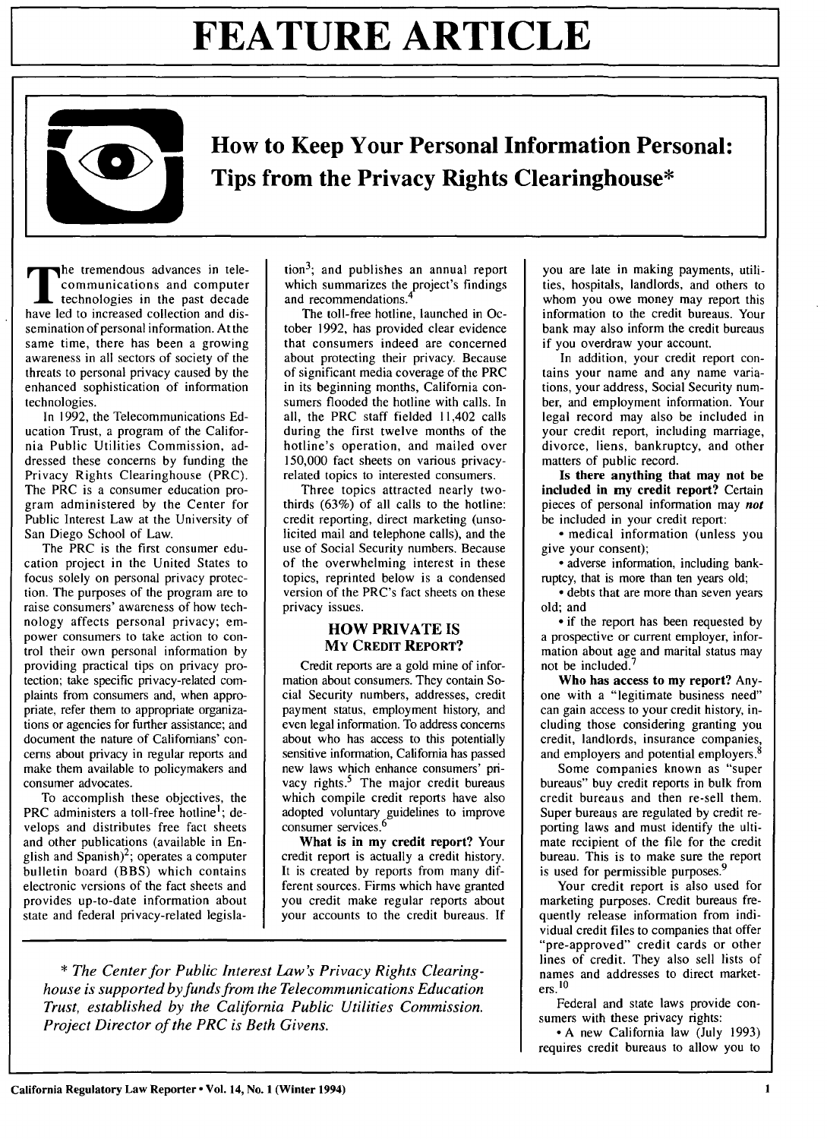

**How to Keep Your Personal Information Personal: Tips from the Privacy Rights Clearinghouse\***

the tremendous advances in telecommunications and computer technologies in the past decade have led to increased collection and dissemination of personal information. At the same time, there has been a growing awareness in all sectors of society of the threats to personal privacy caused by the enhanced sophistication of information technologies.

In 1992, the Telecommunications Education Trust, a program of the California Public Utilities Commission, addressed these concerns by funding the Privacy Rights Clearinghouse (PRC). The PRC is a consumer education program administered by the Center for Public Interest Law at the University of San Diego School of Law.

The PRC is the first consumer education project in the United States to focus solely on personal privacy protection. The purposes of the program are to raise consumers' awareness of how technology affects personal privacy; empower consumers to take action to control their own personal information by providing practical tips on privacy protection; take specific privacy-related complaints from consumers and, when appropriate, refer them to appropriate organizations or agencies for further assistance; and document the nature of Californians' concerns about privacy in regular reports and make them available to policymakers and consumer advocates.

To accomplish these objectives, the PRC administers a toll-free hotline<sup>1</sup>; develops and distributes free fact sheets and other publications (available in English and  $\text{Spanish}^2$ ; operates a computer bulletin board (BBS) which contains electronic versions of the fact sheets and provides up-to-date information about state and federal privacy-related legisla-

tion <sup>3</sup> ; **and** publishes an annual report which summarizes the project's findings and recommendations.

The toll-free hotline, launched in October 1992, has provided clear evidence that consumers indeed are concerned about protecting their privacy. Because of significant media coverage of the PRC in its beginning months, California consumers flooded the hotline with calls. In all, the PRC staff fielded 11,402 calls during the first twelve months of the hotline's operation, and mailed over 150,000 fact sheets on various privacyrelated topics to interested consumers.

Three topics attracted nearly twothirds (63%) of all calls to the hotline: credit reporting, direct marketing (unsolicited mail and telephone calls), and the use of Social Security numbers. Because of the overwhelming interest in these topics, reprinted below is a condensed version of the PRC's fact sheets on these privacy issues.

#### **HOW PRIVATE IS MY CREDIT REPORT?**

Credit reports are a gold mine of information about consumers. They contain Social Security numbers, addresses, credit payment status, employment history, and even legal information. To address concerns about who has access to this potentially sensitive information, California has passed new laws which enhance consumers' privacy rights. $5$  The major credit bureaus which compile credit reports have also adopted voluntary guidelines to improve consumer services.<sup>6</sup>

**What** is in **my credit report?** Your credit report is actually a credit history. It is created by reports from many different sources. Firms which have granted you credit make regular reports about your accounts to the credit bureaus. If

*\* The Center for Public Interest Law's Privacy Rights Clearinghouse is supported by funds from the Telecommunications Education Trust, established by the California Public Utilities Commission. Project Director of the PRC is Beth Givens.*

you are late in making payments, utilities, hospitals, landlords, and others to whom you owe money may report this information to the credit bureaus. Your bank may also inform the credit bureaus if you overdraw your account.

In addition, your credit report contains your name and any name variations, your address, Social Security number, and employment information. Your legal record may also be included in your credit report, including marriage, divorce, liens, bankruptcy, and other matters of public record.

Is **there anything** that may not be included **in** my **credit report?** Certain pieces of personal information may *not* be included in your credit report:

**-** medical information (unless you give your consent);

**-** adverse information, including bankruptcy, that is more than ten years old;

**-** debts that are more than seven years old; and

**-** if the report has been requested by a prospective or current employer, information about age and marital status may not be included.<sup>7</sup>

Who **has** access to my report? Anyone with a "legitimate business need" can gain access to your credit history, including those considering granting you credit, landlords, insurance companies, and employers and potential employers.<sup>8</sup>

Some companies known as "super bureaus" buy credit reports in bulk from credit bureaus and then re-sell them. Super bureaus are regulated **by** credit reporting laws and must identify the ultimate recipient of the file for the credit bureau. This is to make sure the report is used for permissible purposes.<sup>9</sup>

Your credit report is also used for marketing purposes. Credit bureaus frequently release information from individual credit files to companies that offer "pre-approved" credit cards or other lines of credit. They also sell lists of names and addresses to direct marketers. **10**

Federal and state laws provide consumers with these privacy rights:

**-A** new California law (July 1993) requires credit bureaus to allow you to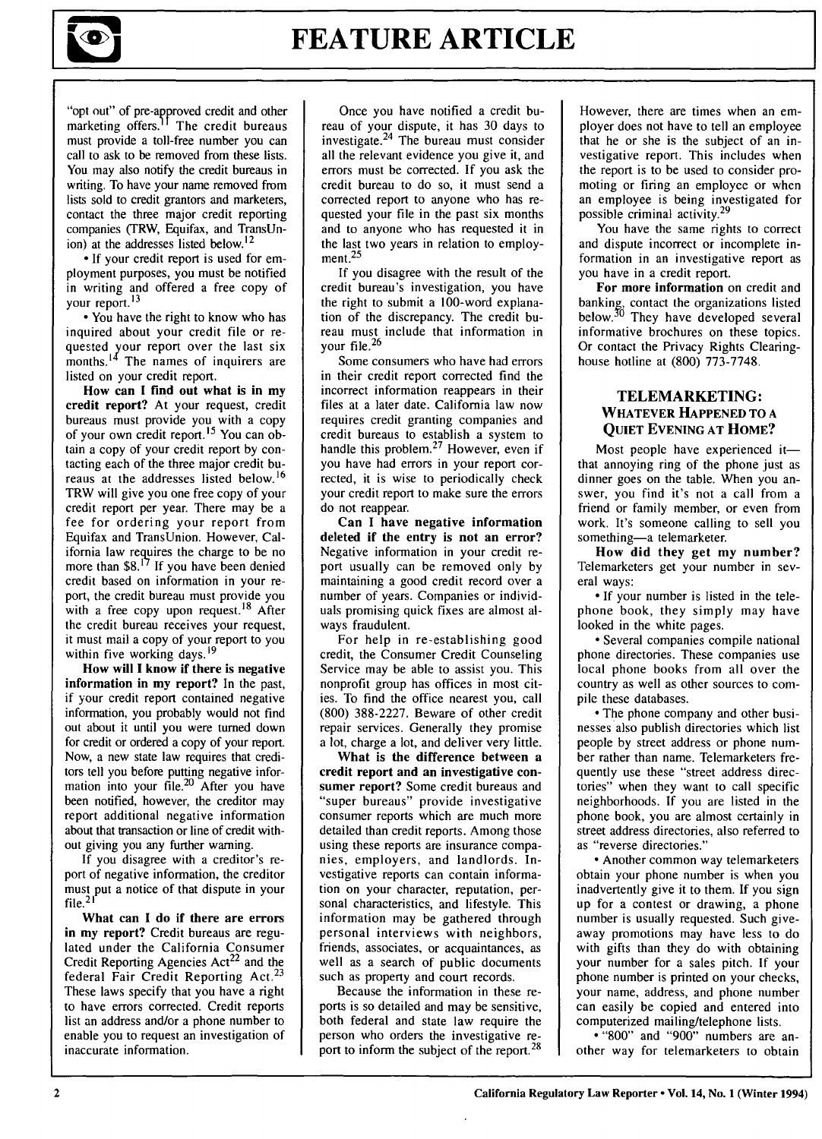

"opt out" of pre-approved credit and other marketing offers.<sup>11</sup> The credit bureaus must provide a toll-free number you can call to ask to be removed from these lists. You may also notify the credit bureaus in writing. **To** have your name removed from lists sold to credit grantors and marketers, contact the three major credit reporting companies (TRW, Equifax, and TransUnion) at the addresses listed below.<sup>12</sup>

\*If your credit report is used for employment purposes, you must be notified in writing and offered a free copy **of** your report.1<sup>3</sup>

**-** You have the right to know who has inquired about your credit file or requested your report over the last six months. $14$  The names of inquirers are listed on your credit report.

How can **I find out what is in my** credit report? At your request, credit bureaus must provide you with a copy of your own credit report.<sup>15</sup> You can obtain a copy of your credit report by contacting each of the three major credit bureaus at the addresses listed below. <sup>16</sup> TRW will give you one free copy of your credit report per year. There may be a fee for ordering your report from Equifax and TransUnion. However, California law requires the charge to be no more than  $$8.<sup>17</sup>$  If you have been denied credit based on information in your report, the credit bureau must provide you with a free copy upon request.<sup>18</sup> After the credit bureau receives your request, it must mail a copy of your report to you within five working days.<sup>19</sup>

**How will I** know **if there** is **negative information in my report?** In the past, if your credit report contained negative information, you probably would not find out about it until you were turned down for credit or ordered a copy of your report. Now, a new state law requires that creditors tell you before putting negative information into your file. $20$  After you have been notified, however, the creditor may report additional negative information about that transaction or line of credit without giving you any further warning.

If you disagree with a creditor's report of negative information, the creditor must put a notice of that dispute in your file.<sup>21</sup>

What can I do **if there are errors** in **my report?** Credit bureaus are regulated under the California Consumer Credit Reporting Agencies Act<sup>22</sup> and the federal Fair Credit Reporting Act.<sup>23</sup> These laws specify that you have a right to have errors corrected. Credit reports list an address and/or a phone number to enable you to request an investigation of inaccurate information.

Once you have notified a credit bureau of your dispute, it has **30** days to investigate. $24$  The bureau must consider all the relevant evidence you give it, and errors must be corrected. If you ask the credit bureau to do so, it must send a corrected report to anyone who has requested your file in the past six months and to anyone who has requested it in the last two years in relation to employ $m$ ent.<sup>25</sup>

If you disagree with the result of the credit bureau's investigation, you have the right to submit a 100-word explanation of the discrepancy. The credit bureau must include that information in your file. <sup>26</sup>

Some consumers who have had errors in their credit report corrected find the incorrect information reappears in their files at a later date. California law now requires credit granting companies and credit bureaus to establish a system to handle this problem.<sup>27</sup> However, even if you have had errors in your report corrected, it is wise to periodically check your credit report to make sure the errors do not reappear.

**Can** I **have negative information** deleted **if the entry is not an error?** Negative information in your credit report usually can be removed only by maintaining a good credit record over a number of years. Companies or individuals promising quick fixes are almost always fraudulent.

For help in re-establishing good credit, the Consumer Credit Counseling Service may be able to assist you. This nonprofit group has offices in most cities. To find the office nearest you, call (800) 388-2227. Beware of other credit repair services. Generally they promise a lot, charge a lot, and deliver very little.

**What** is **the difference between a credit report and an investigative consumer report? Some credit** bureaus and "super bureaus" provide investigative consumer reports which are much more detailed than credit reports. Among those using these reports are insurance companies, employers, and landlords. Investigative reports can contain information on your character, reputation, personal characteristics, and lifestyle. This information may be gathered through personal interviews with neighbors, friends, associates, or acquaintances, as well as a search of public documents such as property and court records.

Because the information in these reports is so detailed and may be sensitive, both federal and state law require the person who orders the investigative report to inform the subject of the report. <sup>28</sup>

However, there are times when an employer does not have to tell an employee that he or she is the subject of an investigative report. This includes when the report is to be used to consider promoting or firing an employee or when an employee is being investigated for possible criminal activity.<sup>29</sup>

You have the same rights to correct and dispute incorrect or incomplete information in an investigative report as you have in a credit report.

**For more information** on credit and banking, contact the organizations listed<br>below.<sup>30</sup> They have developed several informative brochures on these topics. Or contact the Privacy Rights Clearinghouse hotline at (800) 773-7748.

#### TELEMARKETING: **WHATEVER HAPPENED TO A QUIET EVENING AT HOME?**

Most people have experienced itthat annoying ring of the phone just as dinner goes on the table. When you answer, you find it's not a call from a friend or family member, or even from work. It's someone calling to sell you something-a telemarketer.

**How did** they get my **number?** Telemarketers get your number in several ways:

\* **If** your number is listed in the telephone book, they simply may have looked in the white pages.

**-** Several companies compile national phone directories. These companies use local phone books from all over the country as well as other sources to compile these databases.

**-** The phone company and other businesses also publish directories which list people **by** street address or phone number rather than name. Telemarketers frequently use these "street address directories" when they want to call specific neighborhoods. **If** you are listed in the phone book, you are almost certainly in street address directories, also referred to as "reverse directories."

**-** Another common way telemarketers obtain your phone number is when you inadvertently give it to them. **If** you sign up for a contest or drawing, a phone number is usually requested. Such giveaway promotions may have less to do with gifts than they do with obtaining your number for a sales pitch. **If** your phone number is printed on your checks, your name, address, and phone number can easily be copied and entered into computerized mailing/telephone lists.

**- "800"** and **"900"** numbers are another way for telemarketers to obtain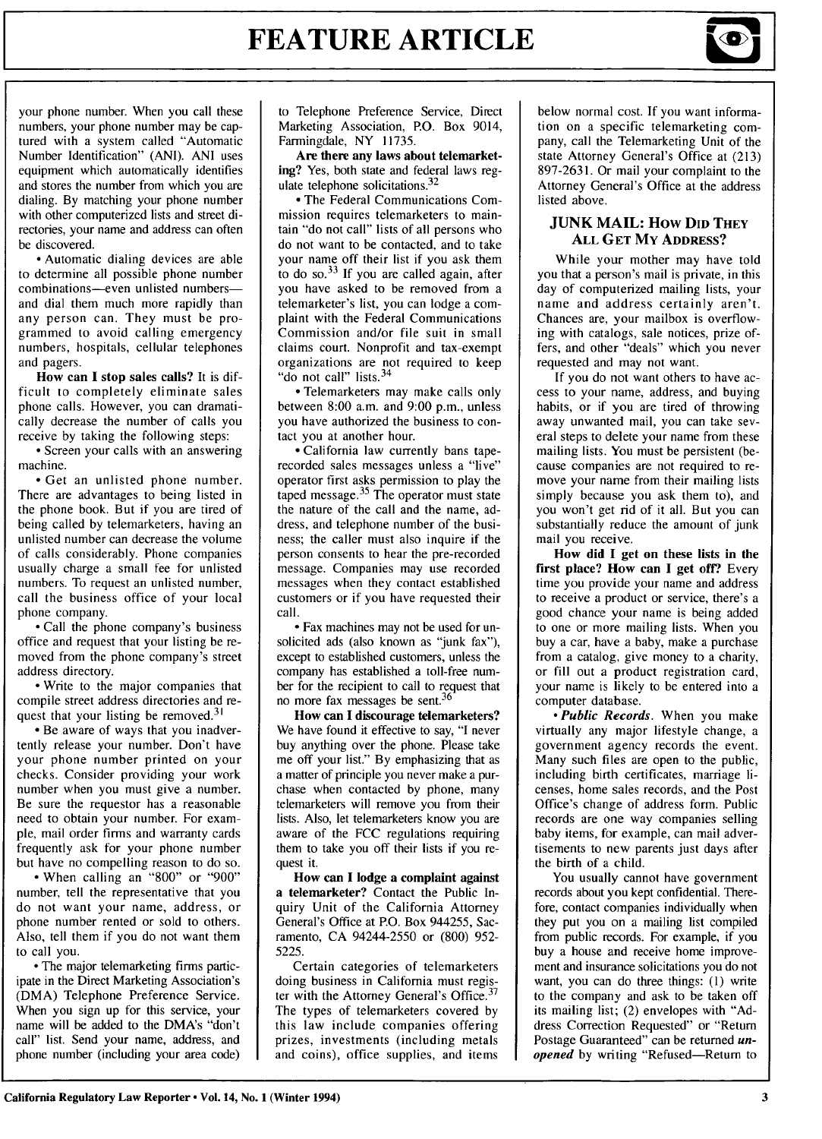

your phone number. When you call these numbers, your phone number may be captured with a system called "Automatic Number Identification" (ANI). ANI uses equipment which automatically identifies and stores the number from which you are dialing. By matching your phone number with other computerized lists and street directories, your name and address can often be discovered.

**-** Automatic dialing devices are able to determine all possible phone number combinations-even unlisted numbersand dial them much more rapidly than any person can. They must be programmed to avoid calling emergency numbers, hospitals, cellular telephones and pagers.

**How can I** stop sales calls? It is difficult to completely eliminate sales phone calls. However, you can dramatically decrease the number of calls you receive by taking the following steps:

**-** Screen your calls with an answering machine.

**-** Get an unlisted phone number. There are advantages to being listed in the phone book. But if you are tired of being called by telemarketers, having an unlisted number can decrease the volume of calls considerably. Phone companies usually charge a small fee for unlisted numbers. To request an unlisted number, call the business office of your local phone company.

**-** Call the phone company's business office and request that your listing be removed from the phone company's street address directory.

**-** Write to the major companies that compile street address directories and request that your listing be removed.<sup>31</sup>

**-** Be aware of ways that you inadvertently release your number. Don't have your phone number printed on your checks. Consider providing your work number when you must give a number. Be sure the requestor has a reasonable need to obtain your number. For example, mail order firms and warranty cards frequently ask for your phone number but have no compelling reason to do so.

**-** When calling an "800" or "900" number, tell the representative that you do not want your name, address, or phone number rented or sold to others. Also, tell them if you do not want them to call you.

**-** The major telemarketing firms participate in the Direct Marketing Association's (DMA) Telephone Preference Service. When you sign up for this service, your name will be added to the DMA's "don't call" list. Send your name, address, and phone number (including your area code) to Telephone Preference Service, Direct Marketing Association, P.O. Box 9014, Farmingdale, NY 11735.

**Are there** any **laws about telemarket**ing? Yes, both state and federal laws regulate telephone solicitations. $32$ 

**-** The Federal Communications Commission requires telemarketers to maintain "do not call" lists of all persons who do not want to be contacted, and to take your name off their list if you ask them to do so.<sup>33</sup> If you are called again, after you have asked to be removed from a telemarketer's list, you can lodge a complaint with the Federal Communications Commission and/or file suit in small claims court. Nonprofit and tax-exempt organizations are not required to keep "do not call" lists.<sup>34</sup>

**-** Telemarketers may make calls only between 8:00 a.m. and 9:00 p.m., unless you have authorized the business to contact you at another hour.

- California law currently bans taperecorded sales messages unless a "live" operator first asks permission to play the taped message. $35$  The operator must state the nature of the call and the name, address, and telephone number of the business; the caller must also inquire if the person consents to hear the pre-recorded message. Companies may use recorded messages when they contact established customers or if you have requested their call.

**-** Fax machines may not be used for unsolicited ads (also known as "junk fax"), except to established customers, unless the company has established a toll-free number for the recipient to call to request that no more fax messages be sent. $36$ 

**How can I discourage telemarketers?** We have found it effective to say, **"I** never buy anything over the phone. Please take me off your list." **By** emphasizing that as a matter of principle you never make a purchase when contacted **by** phone, many telemarketers will remove you **from** their lists. Also, let telemarketers know you are aware of the **FCC** regulations requiring them to take you off their lists if you **re**quest it.

**How can I** lodge a complaint **against** a telemarketer? Contact the Public Inquiry Unit of the California Attorney General's Office at P.O. Box 944255, Sacramento, CA 94244-2550 or (800) 952- 5225.

Certain categories of telemarketers doing business in California must regis-<br>ter with the Attorney General's Office.<sup>37</sup> The types of telemarketers covered by this law include companies offering prizes, investments (including metals and coins), office supplies, and items

below normal cost. If you want information on a specific telemarketing company, call the Telemarketing Unit of the state Attorney General's Office at (213) 897-2631. Or mail your complaint to the Attorney General's Office at the address listed above.

#### **JUNK MAIL:** How **DID** THEY **ALL GET My ADDRESS?**

While your mother may have told you that a person's mail is private, in this day of computerized mailing lists, your name and address certainly aren't. Chances are, your mailbox is overflowing with catalogs, sale notices, prize offers, and other "deals" which you never requested and may not want.

**If** you do not want others to have **ac**cess to your name, address, and buying habits, or if you are tired of throwing away unwanted mail, you can take several steps to delete your name from these mailing lists. You must be persistent **(be**cause companies are not required to remove your name from their mailing lists simply because you ask them to), and you won't get rid of it all. But you can substantially reduce the amount of junk mail you receive.

**How did I** get on these lists in the first place? **How can I** get **off?** Every time you provide your name and address to receive a product or service, there's a good chance your name is being added to one or more mailing lists. When you buy a car, have a baby, make a purchase from a catalog, give money to a charity, or fill out a product registration card, your name is likely to be entered into a computer database.

*- Public Records.* When you make virtually **any** major lifestyle change, a government agency records the event. Many such files are open to the public, including birth certificates, marriage licenses, home sales records, and the Post Office's change of address form. Public records are one way companies selling baby items, for example, can mail advertisements to new parents just days after the birth of a child.

You usually cannot have government records about you kept confidential. Therefore, contact companies individually when they put you on a mailing list compiled from public records. For example, if you buy a house and receive home improvement and insurance solicitations you do not want, you can do three things: **(1)** write to the company and ask to be taken off its mailing list; (2) envelopes with **"Ad**dress Correction Requested" or "Return Postage Guaranteed" can be returned *unopened* **by** writing "Refused-Return to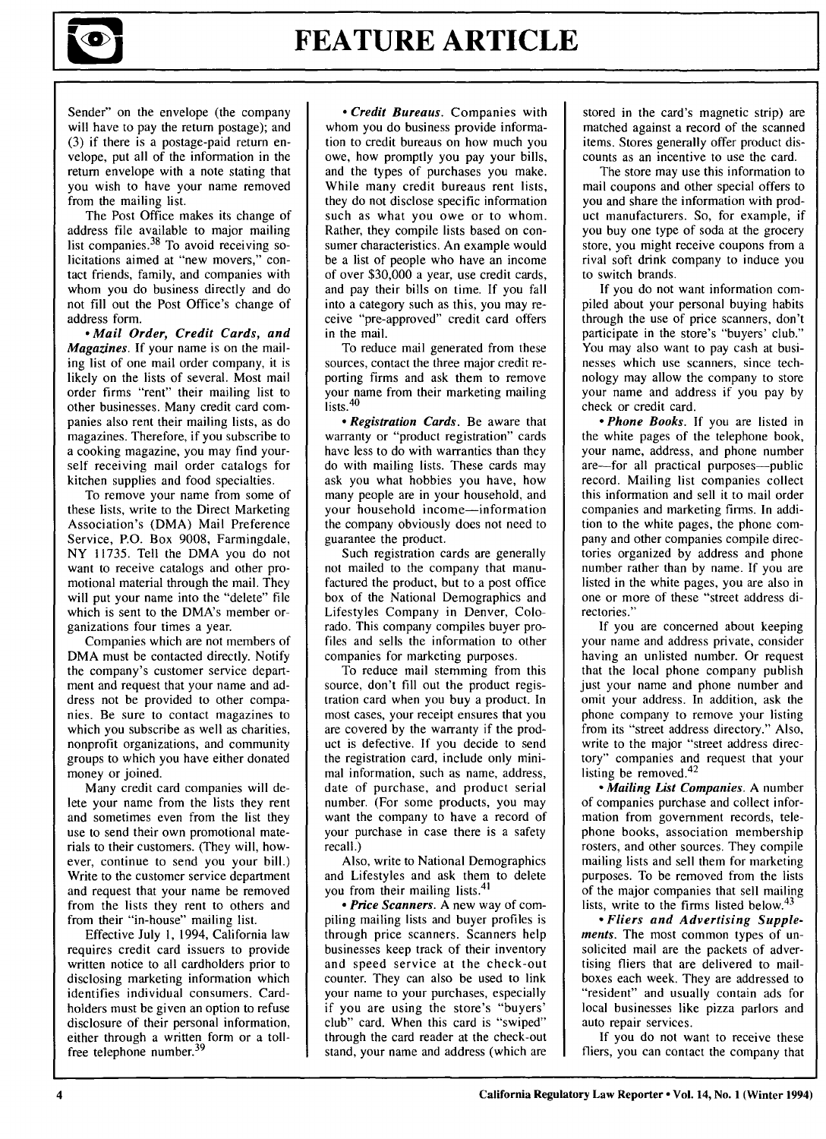

Sender" on the envelope (the company will have to pay the return postage); and (3) if there is a postage-paid return envelope, put all of the information in the return envelope with a note stating that you wish to have your name removed from the mailing list.

The Post Office makes its change of address file available to major mailing list companies. $38$  To avoid receiving solicitations aimed at "new movers," contact friends, family, and companies with whom you do business directly and do not fill out the Post Office's change of address form.

*- Mail Order, Credit Cards, and Magazines.* If your name is on the mailing list of one mail order company, it is likely on the lists of several. Most mail order firms "rent" their mailing list to other businesses. Many credit card companies also rent their mailing lists, as do magazines. Therefore, if you subscribe to a cooking magazine, you may find yourself receiving mail order catalogs for kitchen supplies and food specialties.

To remove your name from some of these lists, write to the Direct Marketing Association's (DMA) Mail Preference Service, P.O. Box 9008, Farmingdale, NY 11735. Tell the DMA you do not want to receive catalogs and other promotional material through the mail. They will put your name into the "delete" file which is sent to the DMA's member organizations four times a year.

Companies which are not members of DMA must be contacted directly. Notify the company's customer service department and request that your name and address not be provided to other companies. Be sure to contact magazines to which you subscribe as well as charities, nonprofit organizations, and community groups to which you have either donated money or joined.

Many credit card companies will delete your name from the lists they rent and sometimes even from the list they use to send their own promotional materials to their customers. (They will, however, continue to send you your bill.) Write to the customer service department and request that your name be removed from the lists they rent to others and from their "in-house" mailing list.

Effective July 1, 1994, California law requires credit card issuers to provide written notice to all cardholders prior to disclosing marketing information which identifies individual consumers. Cardholders must be given an option to refuse disclosure of their personal information, either through a written form or a tollfree telephone number.<sup>39</sup>

*- Credit Bureaus.* Companies with whom you do business provide information to credit bureaus on how much you owe, how promptly you pay your bills, and the types of purchases you make. While many credit bureaus rent lists, they do not disclose specific information such as what you owe or to whom. Rather, they compile lists based on consumer characteristics. An example would be a list of people who have an income of over \$30,000 a year, use credit cards, and pay their bills on time. If you fall into a category such as this, you may receive "pre-approved" credit card offers in the mail.

To reduce mail generated from these sources, contact the three major credit reporting firms and ask them to remove your name from their marketing mailing lists.<sup>40</sup>

*- Registration Cards.* Be aware that warranty or "product registration" cards have less to do with warranties than they do with mailing lists. These cards may ask you what hobbies you have, how many people are in your household, and your household income-information the company obviously does not need to guarantee the product.

Such registration cards are generally not mailed to the company that manufactured the product, but to a post office box of the National Demographics and Lifestyles Company in Denver, Colorado. This company compiles buyer profiles and sells the information to other companies for marketing purposes.

To reduce mail stemming from this source, don't fill out the product registration card when you buy a product. In most cases, your receipt ensures that you are covered by the warranty if the product is defective. If you decide to send the registration card, include only minimal information, such as name, address, date of purchase, and product serial number. (For some products, you may want the company to have a record of your purchase in case there is a safety recall.)

Also, write to National Demographics and Lifestyles and ask them to delete you from their mailing lists.<sup>41</sup>

*- Price Scanners.* A new way of compiling mailing lists and buyer profiles is through price scanners. Scanners help businesses keep track of their inventory and speed service at the check-out counter. They can also be used to link your name to your purchases, especially if you are using the store's "buyers' club" card. When this card is "swiped" through the card reader at the check-out stand, your name and address (which are

stored in the card's magnetic strip) are matched against a record of the scanned items. Stores generally offer product discounts as an incentive to use the card.

The store may use this information to mail coupons and other special offers to you and share the information with product manufacturers. So, for example, if you buy one type of soda at the grocery store, you might receive coupons from a rival soft drink company to induce you to switch brands.

If you do not want information compiled about your personal buying habits through the use of price scanners, don't participate in the store's "buyers' club." You may also want to pay cash at businesses which use scanners, since technology may allow the company to store your name and address if you pay by check or credit card.

*\*Phone* Books. If you are listed in the white pages of the telephone book, your name, address, and phone number are-for all practical purposes-public record. Mailing list companies collect this information and sell it to mail order companies and marketing firms. In addition to the white pages, the phone company and other companies compile directories organized by address and phone number rather than by name. If you are listed in the white pages, you are also in one or more of these "street address directories."

If you are concerned about keeping your name and address private, consider having an unlisted number. Or request that the local phone company publish just your name and phone number and omit your address. In addition, ask the phone company to remove your listing from its "street address directory." Also, write to the major "street address directory" companies and request that your listing be removed. <sup>42</sup>

*, Mailing List Companies.* A number of companies purchase and collect information from government records, telephone books, association membership rosters, and other sources. They compile mailing lists and sell them for marketing purposes. To be removed from the lists of the major companies that sell mailing lists, write to the firms listed below. $43$ 

*• Fliers and Advertising Supplements.* The most common types of unsolicited mail are the packets of advertising fliers that are delivered to mailboxes each week. They are addressed to "resident" and usually contain ads for local businesses like pizza parlors and auto repair services.

If you do not want to receive these fliers, you can contact the company that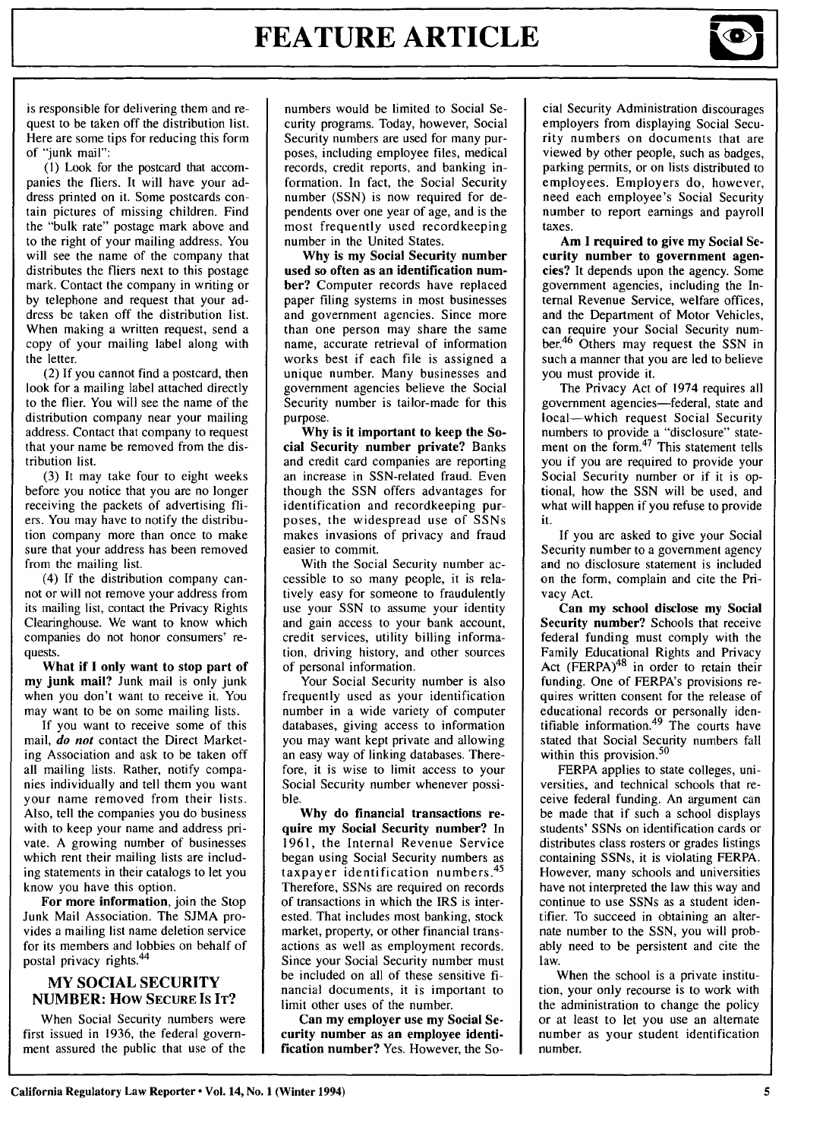

is responsible for delivering them and request to be taken off the distribution list. Here are some tips for reducing this form of "junk mail":

**(1)** Look for the postcard that accompanies the fliers. It will have your address printed on it. Some postcards contain pictures of missing children. Find the "bulk rate" postage mark above and to the right of your mailing address. You will see the name of the company that distributes the fliers next to this postage mark. Contact the company in writing or by telephone and request that your address be taken off the distribution list. When making a written request, send a copy of your mailing label along with the letter.

(2) If you cannot find a postcard, then look for a mailing label attached directly to the flier. You will see the name of the distribution company near your mailing address. Contact that company to request that your name be removed from the distribution list.

(3) It may take four to eight weeks before you notice that you are no longer receiving the packets of advertising fliers. You may have to notify the distribution company more than once to make sure that your address has been removed from the mailing list.

(4) If the distribution company cannot or will not remove your address from its mailing list, contact the Privacy Rights Clearinghouse. We want to know which companies do not honor consumers' requests.

What if **I** only want **to** stop part of my junk mail? Junk mail is only junk when you don't want to receive it. You may want to be on some mailing lists.

If you want to receive some of this mail, *do not* contact the Direct Marketing Association and ask to be taken off all mailing lists. Rather, notify companies individually and tell them you want your name removed from their lists. Also, tell the companies you do business with to keep your name and address private. A growing number of businesses which rent their mailing lists are including statements in their catalogs to let you know you have this option.

For more information, join the Stop Junk Mail Association. The **SJMA** provides a mailing list name deletion service for its members and lobbies on behalf of postal privacy rights.<sup>44</sup>

#### **MY SOCIAL SECURITY NUMBER: How SECURE IS IT?**

When Social Security numbers were first issued in **1936,** the federal government assured the public that use of the numbers would be limited to Social Security programs. Today, however, Social Security numbers are used for many purposes, including employee files, medical records, credit reports, and banking information. In fact, the Social Security number (SSN) is now required for dependents over one year of age, and is the most frequently used recordkeeping number in the United States.

**Why** is my Social Security **number** used so often as an identification number? Computer records have replaced paper filing systems in most businesses and government agencies. Since more than one person may share the same name, accurate retrieval of information works best if each file is assigned a unique number. Many businesses and government agencies believe the Social Security number is tailor-made for this purpose.

**Why** is it important to keep the Social Security number private? Banks and credit card companies are reporting an increase in SSN-related fraud. Even though the SSN offers advantages for identification and recordkeeping purposes, the widespread use of SSNs makes invasions of privacy and fraud easier to commit.

With the Social Security number accessible to so many people, it is relatively easy for someone to fraudulently use your SSN to assume your identity and gain access to your bank account, credit services, utility billing information, driving history, and other sources of personal information.

Your Social Security number is also frequently used as your identification number in a wide variety of computer databases, giving access to information you may want kept private and allowing an easy way of linking databases. Therefore, it is wise to limit access to your Social Security number whenever possible.

**Why** do financial transactions require my Social Security number? In **1961,** the Internal Revenue Service began using Social Security numbers as taxpayer identification numbers. <sup>45</sup> Therefore, SSNs are required on records of transactions in which the IRS is interested. That includes most banking, stock market, property, or other financial transactions as well as employment records. Since your Social Security number must be included on all of these sensitive financial documents, it is important to limit other uses of the number.

**Can my employer use** my Social Security number as an employee identification number? Yes. However, the Social Security Administration discourages employers from displaying Social Security numbers on documents that are viewed by other people, such as badges, parking permits, or on lists distributed to employees. Employers do, however, need each employee's Social Security number to report earnings and payroll taxes.

Am **I** required to give my Social Security number to government agencies? It depends upon the agency. Some government agencies, including the Internal Revenue Service, welfare offices, and the Department of Motor Vehicles, can require your Social Security number.46 Others may request the SSN in such a manner that you are led to believe you must provide it.

The Privacy Act of 1974 requires all government agencies-federal, state and local-which request Social Security numbers to provide a "disclosure" state-<br>ment on the form.<sup>47</sup> This statement tells you if you are required to provide your Social Security number or if it is optional, how the SSN will be used, and what will happen if you refuse to provide it.

If you are asked to give your Social Security number to a government agency and no disclosure statement is included on the form, complain and cite the Privacy Act.

**Can my school disclose my** Social Security number? Schools that receive federal funding must comply with the Family Educational Rights and Privacy Act  $(FERPA)<sup>48</sup>$  in order to retain their funding. One of FERPA's provisions requires written consent for the release of educational records or personally identifiable information. $49$  The courts have stated that Social Security numbers fall within this provision.<sup>50</sup>

FERPA applies to state colleges, universities, and technical schools that receive federal funding. An argument can be made that if such a school displays students' SSNs on identification cards or distributes class rosters or grades listings containing SSNs, it is violating FERPA. However, many schools and universities have not interpreted the law this way and continue to use SSNs as a student identifier. To succeed in obtaining an alternate number to the SSN, you will probably need to be persistent and cite the law.

When the school is a private institution, your only recourse is to work with the administration to change the policy or at least to let you use an alternate number as your student identification number.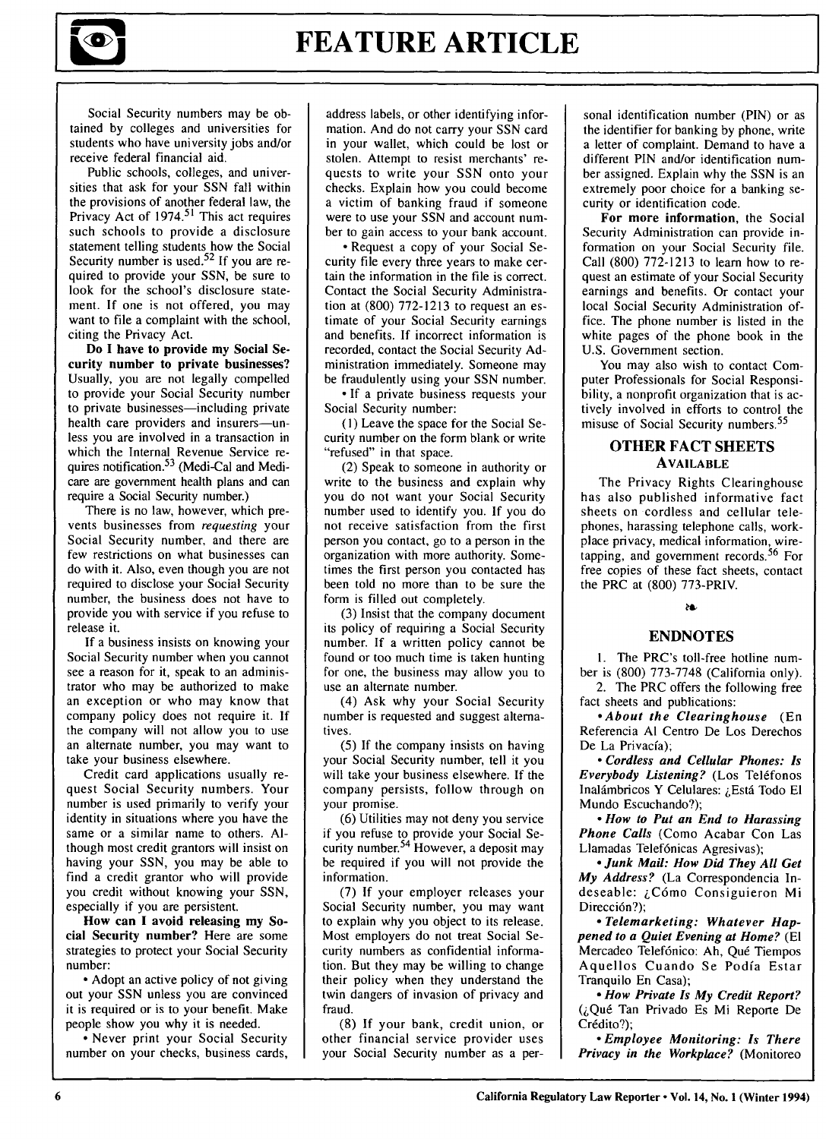

Social Security numbers may be obtained by colleges and universities for students who have university jobs and/or receive federal financial aid.

Public schools, colleges, and universities that ask for your SSN fall within the provisions of another federal law, the Privacy Act of  $1974$ , <sup>51</sup> This act requires such schools to provide a disclosure statement telling students how the Social Security number is used.<sup>52</sup> If you are required to provide your SSN, be sure to look for the school's disclosure statement. If one is not offered, you may want to file a complaint with the school, citing the Privacy Act.

**Do** I have to provide my Social Security number to private businesses? Usually, you are not legally compelled to provide your Social Security number to private businesses—including private health care providers and insurers-unless you are involved in a transaction in which the Internal Revenue Service requires notification.<sup>53</sup> (Medi-Cal and Medicare are government health plans and can require a Social Security number.)

There is no law, however, which prevents businesses from *requesting* your Social Security number, and there are few restrictions on what businesses can do with it. Also, even though you are not required to disclose your Social Security number, the business does not have to provide you with service if you refuse to release it.

If a business insists on knowing your Social Security number when you cannot see a reason for it, speak to an administrator who may be authorized to make an exception or who may know that company policy does not require it. If the company will not allow you to use an alternate number, you may want to take your business elsewhere.

Credit card applications usually request Social Security numbers. Your number is used primarily to verify your identity in situations where you have the same or a similar name to others. Although most credit grantors will insist on having your SSN, you may be able to find a credit grantor who will provide you credit without knowing your SSN, especially if you are persistent.

How can **I** avoid releasing my Social Security number? Here are some strategies to protect your Social Security number:

**\*** Adopt an active policy of not giving out your **SSN** unless you are convinced it is required or is to your benefit. Make people show you why it is needed.

**\*** Never print your Social Security number on your checks, business cards, address labels, or other identifying information. And do not carry your SSN card in your wallet, which could be lost or stolen. Attempt to resist merchants' requests to write your SSN onto your checks. Explain how you could become a victim of banking fraud if someone were to use your SSN and account number to gain access to your bank account.

-Request a copy of your Social Security file every three years to make certain the information in the file is correct. Contact the Social Security Administration at (800) 772-1213 to request an estimate of your Social Security earnings and benefits. If incorrect information is recorded, contact the Social Security Administration immediately. Someone may be fraudulently using your SSN number.

**-** If a private business requests your Social Security number:

**(1)** Leave the space for the Social Security number on the form blank or write "refused" in that space.

(2) Speak to someone in authority or write to the business and explain why you do not want your Social Security number used to identify you. If you do not receive satisfaction from the first person you contact, go to a person in the organization with more authority. Sometimes the first person you contacted has been told no more than to be sure the form is filled out completely.

(3) Insist that the company document its policy of requiring a Social Security number. If a written policy cannot be found or too much time is taken hunting for one, the business may allow you to use an alternate number.

(4) Ask why your Social Security number is requested and suggest alternatives.

(5) If the company insists on having your Social Security number, tell it you will take your business elsewhere. If the company persists, follow through on your promise.

(6) Utilities may not deny you service if you refuse to provide your Social Security number.<sup>54</sup> However, a deposit may be required if you will not provide the information.

(7) If your employer releases your Social Security number, you may want to explain why you object to its release. Most employers do not treat Social Security numbers as confidential information. But they may be willing to change their policy when they understand the twin dangers of invasion of privacy and fraud.

(8) If your bank, credit union, or other financial service provider uses your Social Security number as a per-

sonal identification number (PIN) or as the identifier for banking by phone, write a letter of complaint. Demand to have a different PIN and/or identification number assigned. Explain why the SSN is an extremely poor choice for a banking security or identification code.

**For more information,** the Social Security Administration can provide information on your Social Security file. Call (800) 772-1213 to learn how to request an estimate of your Social Security earnings and benefits. Or contact your local Social Security Administration office. The phone number is listed in the white pages of the phone book in the U.S. Government section.

You may also wish to contact Computer Professionals for Social Responsibility, a nonprofit organization that is actively involved in efforts to control the misuse of Social Security numbers. <sup>55</sup>

#### OTHER **FACT SHEETS AVAILABLE**

The Privacy Rights Clearinghouse has also published informative fact sheets on cordless and cellular telephones, harassing telephone calls, workplace privacy, medical information, wiretapping, and government records.<sup>56</sup> For free copies of these fact sheets, contact the PRC at (800) 773-PRIV.

#### ð

#### **ENDNOTES**

**1.** The PRC's toll-free hotline number is (800) 773-7748 (California only). 2. The PRC offers the following free

fact sheets and publications: *-About the Clearinghouse* (En

Referencia **Al** Centro De Los Derechos De La Privacía):

*- Cordless and Cellular Phones: Is Everybody Listening?* (Los Teléfonos Inalámbricos Y Celulares: ¿Está Todo El Mundo Escuchando?);

*- How to Put an End to Harassing Phone Calls* (Como Acabar Con Las Llamadas Telef6nicas Agresivas);

*-Junk Mail: How Did They All Get My Address?* (La Correspondencia Indeseable: ¿Cómo Consiguieron Mi Dirección?);

*- Telemarketing: Whatever Happened to a Quiet Evening at Home?* **(El** Mercadeo Telefónico: Ah, Qué Tiempos Aquellos Cuando Se Podia Estar Tranquilo En Casa);

*- How Private Is My Credit Report?* **QQu6** Tan Privado Es Mi Reporte De Crédito?);

*- Employee Monitoring: Is There Privacy in the Workplace?* (Monitoreo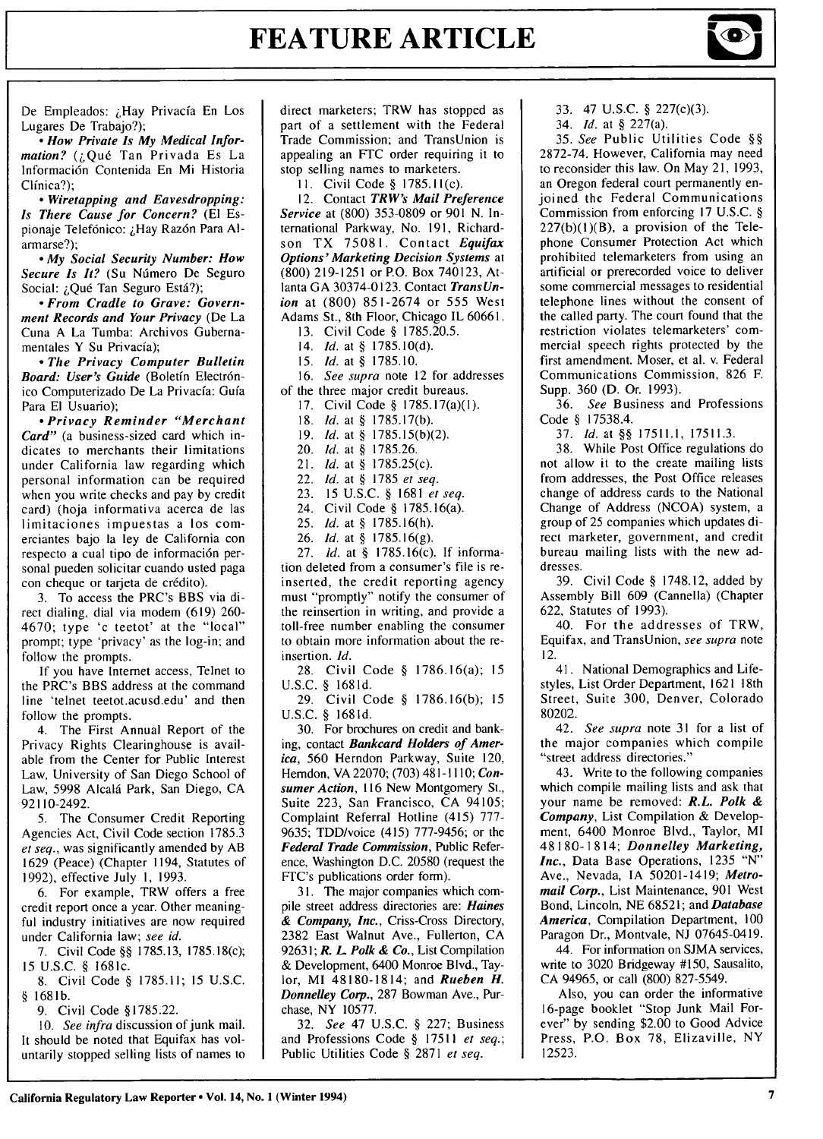

De Empleados: ¿Hay Privacía En Los Lugares De Trabajo?);

*- How Private Is My Medical Information?* (¿Qué Tan Privada Es La Informaci6n Contenida En Mi Historia Clinica?);

*- Wiretapping and Eavesdropping: Is There Cause for Concern?* **(El** Espionaje Telefónico: ¿Hay Razón Para Alarmarse?);

*- My Social Security Number: How* Secure Is It? (Su Número De Seguro Social: *¡*Qué Tan Seguro Está?);

*- From Cradle to Grave: Government Records and Your Privacy* (De La Cuna A La Tumba: Archivos Gubernamentales Y Su Privacia);

*- The Privacy Computer Bulletin* Board: User's Guide (Boletín Electrónico Computerizado De La Privacfa: Gufa Para El Usuario);

*- Privacy Reminder "Merchant Card"* (a business-sized card which indicates to merchants their limitations under California law regarding which personal information can be required when you write checks and pay by credit card) (hoja informativa acerca de las limitaciones impuestas a los comerciantes bajo la ley de California con respecto a cual tipo de información personal pueden solicitar cuando usted paga con cheque or tarjeta de crédito).

3. To access the PRC's BBS via direct dialing, dial via modem (619) 260- 4670; type 'c teetot' at the "local" prompt; type 'privacy' as the log-in; and follow the prompts.

If you have Internet access, Telnet to the PRC's BBS address at the command line 'telnet teetot.acusd.edu' and then follow the prompts.

4. The First Annual Report of the Privacy Rights Clearinghouse is available from the Center for Public Interest Law, University of San Diego School of Law, 5998 Alcald Park, San Diego, CA 92110-2492.

5. The Consumer Credit Reporting Agencies Act, Civil Code section 1785.3 *et seq.,* was significantly amended by AB 1629 (Peace) (Chapter 1194, Statutes of 1992), effective July 1, 1993.

6. For example, TRW offers a free credit report once a year. Other meaningful industry initiatives are now required under California law; *see id.*

7. Civil Code §§ 1785.13, 1785.18(c); **<sup>15</sup>**U.S.C. § 1681c.

8. Civil Code § 1785.11; 15 U.S.C. § 1681b.

9. Civil Code § 1785.22.

10. *See infra* discussion of junk mail. It should be noted that Equifax has voluntarily stopped selling lists of names to direct marketers; TRW has stopped as part of a settlement with the Federal Trade Commission; and TransUnion is appealing an **FTC** order requiring it to stop selling names to marketers.

**11.** Civil Code § 1785.11(c).

12. Contact *TRW's Mail Preference Service* at (800) 353-0809 or 901 N. International Parkway, No. 191, Richardson TX 75081. Contact *Equifax Options' Marketing Decision Systems* at (800) 219-1251 or P.O. Box 740123, Atlanta GA 30374-0123. Contact *TransUnion* at (800) 851-2674 or 555 West Adams St., 8th Floor, Chicago IL 60661.

13. Civil Code § 1785.20.5.

14. *Id.* at § 1785.10(d).

15. *Id.* at § **1785. 10.**

16. *See supra* note 12 for addresses

of the three major credit bureaus. 17. Civil Code § 1785.17(a)(1).

18. **Id.** at § 1785.17(b).

19. Id. at § 1785.15(b)(2).

20. Id. at § 1785.26.

21. Id. at § 1785.25(c).

22. Id. at § 1785 *et seq.*

23. 15 U.S.C. § 1681 *et seq.*

24. Civil Code § 1785.16(a).

25. **Id.** at § 1785.16(h).

26. Id. at § 1785.16(g).

27. **Id.** at § 1785.16(c). If information deleted from a consumer's file is reinserted, the credit reporting agency must "promptly" notify the consumer of the reinsertion in writing, and provide a toll-free number enabling the consumer to obtain more information about the reinsertion. *Id.*

28. Civil Code § 1786.16(a); **15** U.S.C. § 1681d.

29. Civil Code § 1786.16(b); **15** U.S.C. § 1681d.

30. For brochures on credit and banking, contact *Bankcard Holders of America,* 560 Herndon Parkway, Suite 120, Herndon, VA 22070; (703) **481** -1110; *Consumer Action,* 116 New Montgomery St., Suite 223, San Francisco, CA 94105; Complaint Referral Hotline (415) 777- 9635; TDD/voice (415) 777-9456; or the *Federal Trade Commission,* Public Reference, Washington D.C. 20580 (request the FTC's publications order form).

31. The major companies which compile street address directories are: *Haines* & *Company, Inc.,* Criss-Cross Directory, 2382 East Walnut Ave., Fullerton, CA 92631; *R.* L *Polk* & *Co.,* List Compilation & Development, 6400 Monroe Blvd., Taylor, MI 48180-1814; and *Rueben H. Donnelley Corp.,* 287 Bowman Ave., Purchase, NY 10577.

32. *See* 47 U.S.C. § 227; Business and Professions Code § 17511 *et seq.;* Public Utilities Code § 2871 *et seq.*

**33.** 47 U.S.C. **§** 227(c)(3).

34. *Id.* at **§** 227(a).

35. *See* Public Utilities Code **§§ 2872-74.** However, California may need to reconsider this law. On May 21, 1993, an Oregon federal court permanently enjoined the Federal Communications Commission from enforcing 17 U.S.C. **§**  $227(b)(1)(B)$ , a provision of the Telephone Consumer Protection Act which prohibited telemarketers from using an artificial or prerecorded voice to deliver some commercial messages to residential telephone lines without the consent of the called party. The court found that the restriction violates telemarketers' commercial speech rights protected by the first amendment. Moser, et al. v. Federal Communications Commission, 826 F. Supp. 360 (D. Or. 1993).

36. *See* Business and Professions Code **§ 17538.4.**

37. *Id.* at **§§** 17511.1, 17511.3.

38. While Post Office regulations do not allow it to the create mailing lists from addresses, the Post Office releases change of address cards to the National Change of Address (NCOA) system, a group of 25 companies which updates direct marketer, government, and credit bureau mailing lists with the new addresses.

39. Civil Code **§** 1748.12, added by Assembly Bill 609 (Cannella) (Chapter 622, Statutes of 1993).

40. For the addresses of TRW, Equifax, and TransUnion, *see supra* note 12.

41. National Demographics and Lifestyles, List Order Department, 1621 18th Street, Suite 300, Denver, Colorado 80202.

42. *See supra* note 31 for a list of the major companies which compile "street address directories."

43. Write to the following companies which compile mailing lists and ask that your name be removed: *R.L. Polk & Company,* List Compilation & Development, 6400 Monroe Blvd., Taylor, MI 48 180-1814; *Donnelley Marketing, Inc.,* Data Base Operations, 1235 "N" Ave., Nevada, IA 50201-1419; *Metromail Corp.,* List Maintenance, 901 West Bond, Lincoln, NE 68521; and *Database America,* Compilation Department, 100 Paragon Dr., Montvale, NJ 07645-0419.

44. For information on SJMA services, write to 3020 Bridgeway #150, Sausalito, CA 94965, or call (800) 827-5549.

Also, you can order the informative 16-page booklet "Stop Junk Mail Forever" by sending \$2.00 to Good Advice Press, P.O. Box 78, Elizaville, NY 12523.